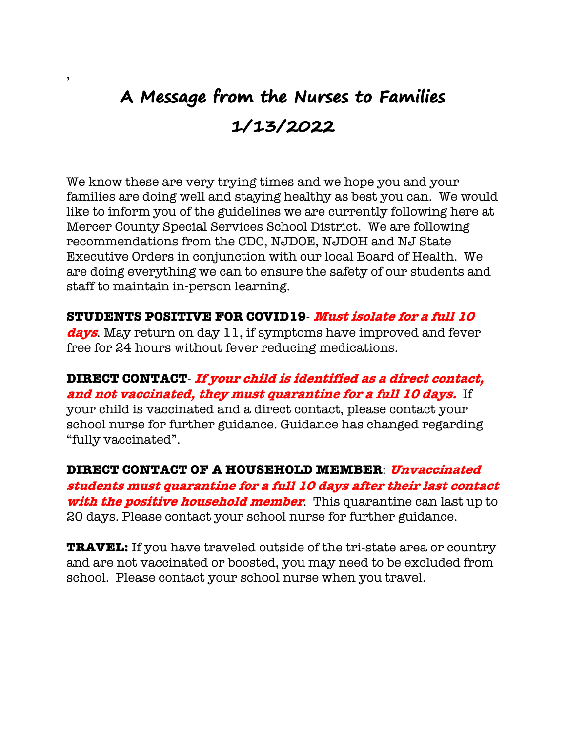## **A Message from the Nurses to Families 1/13/2022**

,

We know these are very trying times and we hope you and your families are doing well and staying healthy as best you can. We would like to inform you of the guidelines we are currently following here at Mercer County Special Services School District. We are following recommendations from the CDC, NJDOE, NJDOH and NJ State Executive Orders in conjunction with our local Board of Health. We are doing everything we can to ensure the safety of our students and staff to maintain in-person learning.

**STUDENTS POSITIVE FOR COVID19**- **Must isolate for a full 10** 

**days**. May return on day 11, if symptoms have improved and fever free for 24 hours without fever reducing medications.

**DIRECT CONTACT**- **If your child is identified as a direct contact, and not vaccinated, they must quarantine for a full 10 days.** If your child is vaccinated and a direct contact, please contact your school nurse for further guidance. Guidance has changed regarding "fully vaccinated".

**DIRECT CONTACT OF A HOUSEHOLD MEMBER**: **Unvaccinated students must quarantine for a full 10 days after their last contact with the positive household member**. This quarantine can last up to 20 days. Please contact your school nurse for further guidance.

**TRAVEL:** If you have traveled outside of the tri-state area or country and are not vaccinated or boosted, you may need to be excluded from school. Please contact your school nurse when you travel.